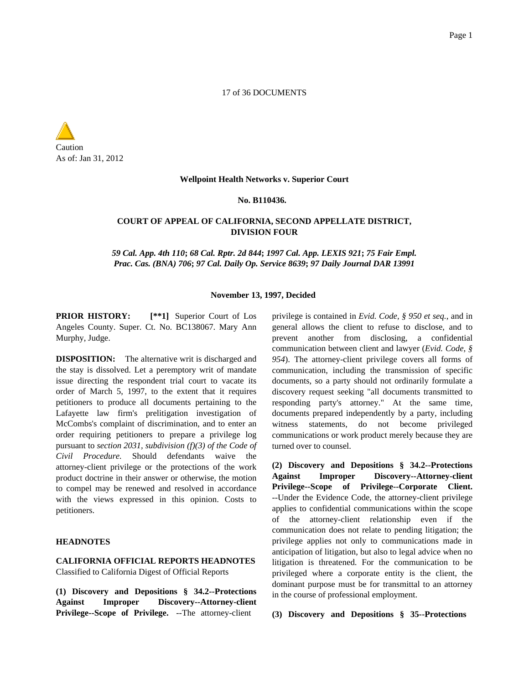## 17 of 36 DOCUMENTS

Caution As of: Jan 31, 2012

#### **Wellpoint Health Networks v. Superior Court**

### **No. B110436.**

# **COURT OF APPEAL OF CALIFORNIA, SECOND APPELLATE DISTRICT, DIVISION FOUR**

*59 Cal. App. 4th 110***;** *68 Cal. Rptr. 2d 844***;** *1997 Cal. App. LEXIS 921***;** *75 Fair Empl. Prac. Cas. (BNA) 706***;** *97 Cal. Daily Op. Service 8639***;** *97 Daily Journal DAR 13991*

## **November 13, 1997, Decided**

**PRIOR HISTORY: [\*\*1]** Superior Court of Los Angeles County. Super. Ct. No. BC138067. Mary Ann Murphy, Judge.

**DISPOSITION:** The alternative writ is discharged and the stay is dissolved. Let a peremptory writ of mandate issue directing the respondent trial court to vacate its order of March 5, 1997, to the extent that it requires petitioners to produce all documents pertaining to the Lafayette law firm's prelitigation investigation of McCombs's complaint of discrimination, and to enter an order requiring petitioners to prepare a privilege log pursuant to *section 2031, subdivision (f)(3) of the Code of Civil Procedure.* Should defendants waive the attorney-client privilege or the protections of the work product doctrine in their answer or otherwise, the motion to compel may be renewed and resolved in accordance with the views expressed in this opinion. Costs to petitioners.

# **HEADNOTES**

**CALIFORNIA OFFICIAL REPORTS HEADNOTES** Classified to California Digest of Official Reports

**(1) Discovery and Depositions § 34.2--Protections Against Improper Discovery--Attorney-client** Privilege--Scope of Privilege. --The attorney-client

privilege is contained in *Evid. Code, § 950 et seq.*, and in general allows the client to refuse to disclose, and to prevent another from disclosing, a confidential communication between client and lawyer (*Evid. Code, § 954*). The attorney-client privilege covers all forms of communication, including the transmission of specific documents, so a party should not ordinarily formulate a discovery request seeking "all documents transmitted to responding party's attorney." At the same time, documents prepared independently by a party, including witness statements, do not become privileged communications or work product merely because they are turned over to counsel.

**(2) Discovery and Depositions § 34.2--Protections Against Improper Discovery--Attorney-client Privilege--Scope of Privilege--Corporate Client.** --Under the Evidence Code, the attorney-client privilege applies to confidential communications within the scope of the attorney-client relationship even if the communication does not relate to pending litigation; the privilege applies not only to communications made in anticipation of litigation, but also to legal advice when no litigation is threatened. For the communication to be privileged where a corporate entity is the client, the dominant purpose must be for transmittal to an attorney in the course of professional employment.

**(3) Discovery and Depositions § 35--Protections**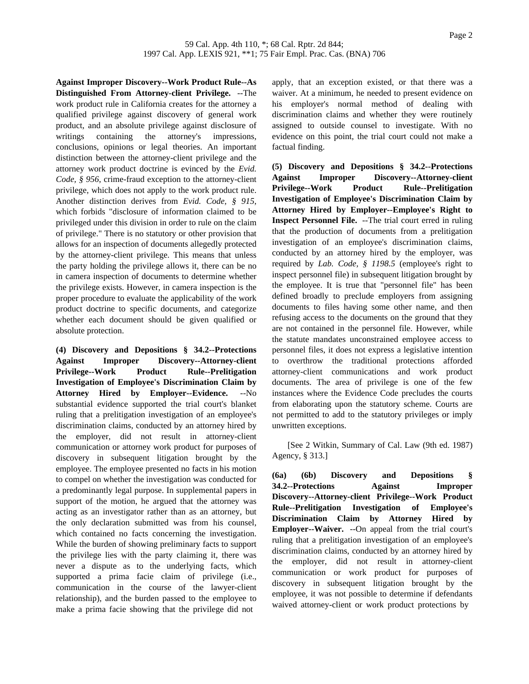**Against Improper Discovery--Work Product Rule--As Distinguished From Attorney-client Privilege.** --The work product rule in California creates for the attorney a qualified privilege against discovery of general work product, and an absolute privilege against disclosure of writings containing the attorney's impressions, conclusions, opinions or legal theories. An important distinction between the attorney-client privilege and the attorney work product doctrine is evinced by the *Evid. Code, § 956*, crime-fraud exception to the attorney-client privilege, which does not apply to the work product rule. Another distinction derives from *Evid. Code, § 915*, which forbids "disclosure of information claimed to be privileged under this division in order to rule on the claim of privilege." There is no statutory or other provision that allows for an inspection of documents allegedly protected by the attorney-client privilege. This means that unless the party holding the privilege allows it, there can be no in camera inspection of documents to determine whether the privilege exists. However, in camera inspection is the proper procedure to evaluate the applicability of the work product doctrine to specific documents, and categorize whether each document should be given qualified or absolute protection.

**(4) Discovery and Depositions § 34.2--Protections Against Improper Discovery--Attorney-client Privilege--Work Product Rule--Prelitigation Investigation of Employee's Discrimination Claim by Attorney Hired by Employer--Evidence.** --No substantial evidence supported the trial court's blanket ruling that a prelitigation investigation of an employee's discrimination claims, conducted by an attorney hired by the employer, did not result in attorney-client communication or attorney work product for purposes of discovery in subsequent litigation brought by the employee. The employee presented no facts in his motion to compel on whether the investigation was conducted for a predominantly legal purpose. In supplemental papers in support of the motion, he argued that the attorney was acting as an investigator rather than as an attorney, but the only declaration submitted was from his counsel, which contained no facts concerning the investigation. While the burden of showing preliminary facts to support the privilege lies with the party claiming it, there was never a dispute as to the underlying facts, which supported a prima facie claim of privilege (i.e., communication in the course of the lawyer-client relationship), and the burden passed to the employee to make a prima facie showing that the privilege did not

apply, that an exception existed, or that there was a waiver. At a minimum, he needed to present evidence on his employer's normal method of dealing with discrimination claims and whether they were routinely assigned to outside counsel to investigate. With no evidence on this point, the trial court could not make a factual finding.

**(5) Discovery and Depositions § 34.2--Protections Against Improper Discovery--Attorney-client Privilege--Work Product Rule--Prelitigation Investigation of Employee's Discrimination Claim by Attorney Hired by Employer--Employee's Right to Inspect Personnel File.** --The trial court erred in ruling that the production of documents from a prelitigation investigation of an employee's discrimination claims, conducted by an attorney hired by the employer, was required by *Lab. Code, § 1198.5* (employee's right to inspect personnel file) in subsequent litigation brought by the employee. It is true that "personnel file" has been defined broadly to preclude employers from assigning documents to files having some other name, and then refusing access to the documents on the ground that they are not contained in the personnel file. However, while the statute mandates unconstrained employee access to personnel files, it does not express a legislative intention to overthrow the traditional protections afforded attorney-client communications and work product documents. The area of privilege is one of the few instances where the Evidence Code precludes the courts from elaborating upon the statutory scheme. Courts are not permitted to add to the statutory privileges or imply unwritten exceptions.

[See 2 Witkin, Summary of Cal. Law (9th ed. 1987) Agency, § 313.]

**(6a) (6b) Discovery and Depositions § 34.2--Protections Against Improper Discovery--Attorney-client Privilege--Work Product Rule--Prelitigation Investigation of Employee's Discrimination Claim by Attorney Hired by Employer--Waiver.** --On appeal from the trial court's ruling that a prelitigation investigation of an employee's discrimination claims, conducted by an attorney hired by the employer, did not result in attorney-client communication or work product for purposes of discovery in subsequent litigation brought by the employee, it was not possible to determine if defendants waived attorney-client or work product protections by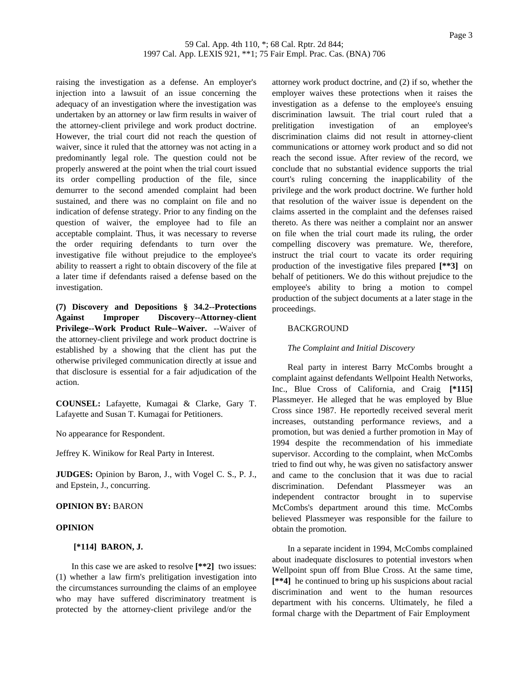raising the investigation as a defense. An employer's injection into a lawsuit of an issue concerning the adequacy of an investigation where the investigation was undertaken by an attorney or law firm results in waiver of the attorney-client privilege and work product doctrine. However, the trial court did not reach the question of waiver, since it ruled that the attorney was not acting in a predominantly legal role. The question could not be properly answered at the point when the trial court issued its order compelling production of the file, since demurrer to the second amended complaint had been sustained, and there was no complaint on file and no indication of defense strategy. Prior to any finding on the question of waiver, the employee had to file an acceptable complaint. Thus, it was necessary to reverse the order requiring defendants to turn over the investigative file without prejudice to the employee's ability to reassert a right to obtain discovery of the file at a later time if defendants raised a defense based on the investigation.

**(7) Discovery and Depositions § 34.2--Protections Against Improper Discovery--Attorney-client Privilege--Work Product Rule--Waiver.** --Waiver of the attorney-client privilege and work product doctrine is established by a showing that the client has put the otherwise privileged communication directly at issue and that disclosure is essential for a fair adjudication of the action.

**COUNSEL:** Lafayette, Kumagai & Clarke, Gary T. Lafayette and Susan T. Kumagai for Petitioners.

No appearance for Respondent.

Jeffrey K. Winikow for Real Party in Interest.

**JUDGES:** Opinion by Baron, J., with Vogel C. S., P. J., and Epstein, J., concurring.

## **OPINION BY:** BARON

# **OPINION**

## **[\*114] BARON, J.**

In this case we are asked to resolve **[\*\*2]** two issues: (1) whether a law firm's prelitigation investigation into the circumstances surrounding the claims of an employee who may have suffered discriminatory treatment is protected by the attorney-client privilege and/or the

attorney work product doctrine, and (2) if so, whether the employer waives these protections when it raises the investigation as a defense to the employee's ensuing discrimination lawsuit. The trial court ruled that a prelitigation investigation of an employee's discrimination claims did not result in attorney-client communications or attorney work product and so did not reach the second issue. After review of the record, we conclude that no substantial evidence supports the trial court's ruling concerning the inapplicability of the privilege and the work product doctrine. We further hold that resolution of the waiver issue is dependent on the claims asserted in the complaint and the defenses raised thereto. As there was neither a complaint nor an answer on file when the trial court made its ruling, the order compelling discovery was premature. We, therefore, instruct the trial court to vacate its order requiring production of the investigative files prepared **[\*\*3]** on behalf of petitioners. We do this without prejudice to the employee's ability to bring a motion to compel production of the subject documents at a later stage in the proceedings.

### **BACKGROUND**

### *The Complaint and Initial Discovery*

Real party in interest Barry McCombs brought a complaint against defendants Wellpoint Health Networks, Inc., Blue Cross of California, and Craig **[\*115]** Plassmeyer. He alleged that he was employed by Blue Cross since 1987. He reportedly received several merit increases, outstanding performance reviews, and a promotion, but was denied a further promotion in May of 1994 despite the recommendation of his immediate supervisor. According to the complaint, when McCombs tried to find out why, he was given no satisfactory answer and came to the conclusion that it was due to racial discrimination. Defendant Plassmeyer was an independent contractor brought in to supervise McCombs's department around this time. McCombs believed Plassmeyer was responsible for the failure to obtain the promotion.

In a separate incident in 1994, McCombs complained about inadequate disclosures to potential investors when Wellpoint spun off from Blue Cross. At the same time, **[\*\*4]** he continued to bring up his suspicions about racial discrimination and went to the human resources department with his concerns. Ultimately, he filed a formal charge with the Department of Fair Employment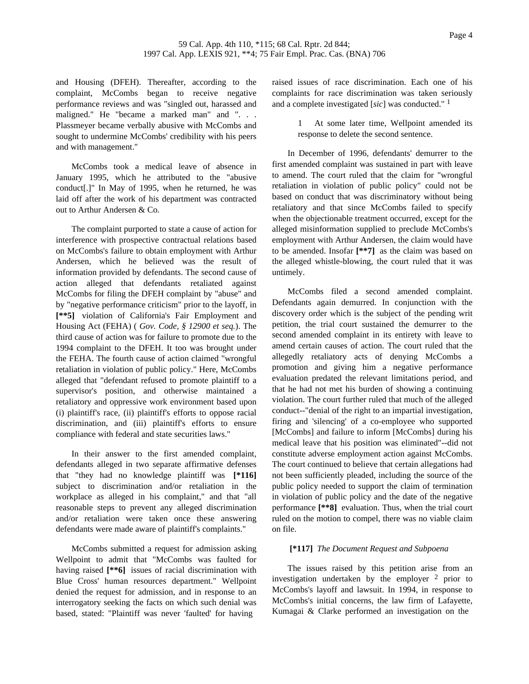and Housing (DFEH). Thereafter, according to the complaint, McCombs began to receive negative performance reviews and was "singled out, harassed and maligned." He "became a marked man" and ". . . Plassmeyer became verbally abusive with McCombs and sought to undermine McCombs' credibility with his peers and with management."

McCombs took a medical leave of absence in January 1995, which he attributed to the "abusive conduct[.]" In May of 1995, when he returned, he was laid off after the work of his department was contracted out to Arthur Andersen & Co.

The complaint purported to state a cause of action for interference with prospective contractual relations based on McCombs's failure to obtain employment with Arthur Andersen, which he believed was the result of information provided by defendants. The second cause of action alleged that defendants retaliated against McCombs for filing the DFEH complaint by "abuse" and by "negative performance criticism" prior to the layoff, in **[\*\*5]** violation of California's Fair Employment and Housing Act (FEHA) ( *Gov. Code, § 12900 et seq.*). The third cause of action was for failure to promote due to the 1994 complaint to the DFEH. It too was brought under the FEHA. The fourth cause of action claimed "wrongful retaliation in violation of public policy." Here, McCombs alleged that "defendant refused to promote plaintiff to a supervisor's position, and otherwise maintained a retaliatory and oppressive work environment based upon (i) plaintiff's race, (ii) plaintiff's efforts to oppose racial discrimination, and (iii) plaintiff's efforts to ensure compliance with federal and state securities laws."

In their answer to the first amended complaint, defendants alleged in two separate affirmative defenses that "they had no knowledge plaintiff was **[\*116]** subject to discrimination and/or retaliation in the workplace as alleged in his complaint," and that "all reasonable steps to prevent any alleged discrimination and/or retaliation were taken once these answering defendants were made aware of plaintiff's complaints."

McCombs submitted a request for admission asking Wellpoint to admit that "McCombs was faulted for having raised **[\*\*6]** issues of racial discrimination with Blue Cross' human resources department." Wellpoint denied the request for admission, and in response to an interrogatory seeking the facts on which such denial was based, stated: "Plaintiff was never 'faulted' for having

raised issues of race discrimination. Each one of his complaints for race discrimination was taken seriously and a complete investigated [*sic*] was conducted." 1

> At some later time, Wellpoint amended its response to delete the second sentence.

In December of 1996, defendants' demurrer to the first amended complaint was sustained in part with leave to amend. The court ruled that the claim for "wrongful retaliation in violation of public policy" could not be based on conduct that was discriminatory without being retaliatory and that since McCombs failed to specify when the objectionable treatment occurred, except for the alleged misinformation supplied to preclude McCombs's employment with Arthur Andersen, the claim would have to be amended. Insofar **[\*\*7]** as the claim was based on the alleged whistle-blowing, the court ruled that it was untimely.

McCombs filed a second amended complaint. Defendants again demurred. In conjunction with the discovery order which is the subject of the pending writ petition, the trial court sustained the demurrer to the second amended complaint in its entirety with leave to amend certain causes of action. The court ruled that the allegedly retaliatory acts of denying McCombs a promotion and giving him a negative performance evaluation predated the relevant limitations period, and that he had not met his burden of showing a continuing violation. The court further ruled that much of the alleged conduct--"denial of the right to an impartial investigation, firing and 'silencing' of a co-employee who supported [McCombs] and failure to inform [McCombs] during his medical leave that his position was eliminated"--did not constitute adverse employment action against McCombs. The court continued to believe that certain allegations had not been sufficiently pleaded, including the source of the public policy needed to support the claim of termination in violation of public policy and the date of the negative performance **[\*\*8]** evaluation. Thus, when the trial court ruled on the motion to compel, there was no viable claim on file.

## **[\*117]** *The Document Request and Subpoena*

The issues raised by this petition arise from an investigation undertaken by the employer 2 prior to McCombs's layoff and lawsuit. In 1994, in response to McCombs's initial concerns, the law firm of Lafayette, Kumagai & Clarke performed an investigation on the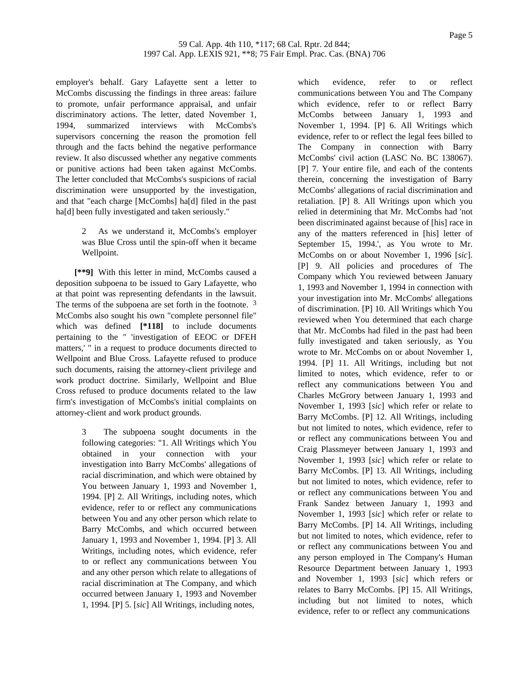employer's behalf. Gary Lafayette sent a letter to McCombs discussing the findings in three areas: failure to promote, unfair performance appraisal, and unfair discriminatory actions. The letter, dated November 1, 1994, summarized interviews with McCombs's supervisors concerning the reason the promotion fell through and the facts behind the negative performance review. It also discussed whether any negative comments or punitive actions had been taken against McCombs. The letter concluded that McCombs's suspicions of racial discrimination were unsupported by the investigation, and that "each charge [McCombs] ha[d] filed in the past ha[d] been fully investigated and taken seriously."

> 2 As we understand it, McCombs's employer was Blue Cross until the spin-off when it became Wellpoint.

**[\*\*9]** With this letter in mind, McCombs caused a deposition subpoena to be issued to Gary Lafayette, who at that point was representing defendants in the lawsuit. The terms of the subpoena are set forth in the footnote.  $3$ McCombs also sought his own "complete personnel file" which was defined **[\*118]** to include documents pertaining to the " 'investigation of EEOC or DFEH matters,' " in a request to produce documents directed to Wellpoint and Blue Cross. Lafayette refused to produce such documents, raising the attorney-client privilege and work product doctrine. Similarly, Wellpoint and Blue Cross refused to produce documents related to the law firm's investigation of McCombs's initial complaints on attorney-client and work product grounds.

> The subpoena sought documents in the following categories: "1. All Writings which You obtained in your connection with your investigation into Barry McCombs' allegations of racial discrimination, and which were obtained by You between January 1, 1993 and November 1, 1994. [P] 2. All Writings, including notes, which evidence, refer to or reflect any communications between You and any other person which relate to Barry McCombs, and which occurred between January 1, 1993 and November 1, 1994. [P] 3. All Writings, including notes, which evidence, refer to or reflect any communications between You and any other person which relate to allegations of racial discrimination at The Company, and which occurred between January 1, 1993 and November 1, 1994. [P] 5. [*sic*] All Writings, including notes,

which evidence, refer to or reflect communications between You and The Company which evidence, refer to or reflect Barry McCombs between January 1, 1993 and November 1, 1994. [P] 6. All Writings which evidence, refer to or reflect the legal fees billed to The Company in connection with Barry McCombs' civil action (LASC No. BC 138067). [P] 7. Your entire file, and each of the contents therein, concerning the investigation of Barry McCombs' allegations of racial discrimination and retaliation. [P] 8. All Writings upon which you relied in determining that Mr. McCombs had 'not been discriminated against because of [his] race in any of the matters referenced in [his] letter of September 15, 1994.', as You wrote to Mr. McCombs on or about November 1, 1996 [*sic*]. [P] 9. All policies and procedures of The Company which You reviewed between January 1, 1993 and November 1, 1994 in connection with your investigation into Mr. McCombs' allegations of discrimination. [P] 10. All Writings which You reviewed when You determined that each charge that Mr. McCombs had filed in the past had been fully investigated and taken seriously, as You wrote to Mr. McCombs on or about November 1, 1994. [P] 11. All Writings, including but not limited to notes, which evidence, refer to or reflect any communications between You and Charles McGrory between January 1, 1993 and November 1, 1993 [*sic*] which refer or relate to Barry McCombs. [P] 12. All Writings, including but not limited to notes, which evidence, refer to or reflect any communications between You and Craig Plassmeyer between January 1, 1993 and November 1, 1993 [*sic*] which refer or relate to Barry McCombs. [P] 13. All Writings, including but not limited to notes, which evidence, refer to or reflect any communications between You and Frank Sandez between January 1, 1993 and November 1, 1993 [*sic*] which refer or relate to Barry McCombs. [P] 14. All Writings, including but not limited to notes, which evidence, refer to or reflect any communications between You and any person employed in The Company's Human Resource Department between January 1, 1993 and November 1, 1993 [*sic*] which refers or relates to Barry McCombs. [P] 15. All Writings, including but not limited to notes, which evidence, refer to or reflect any communications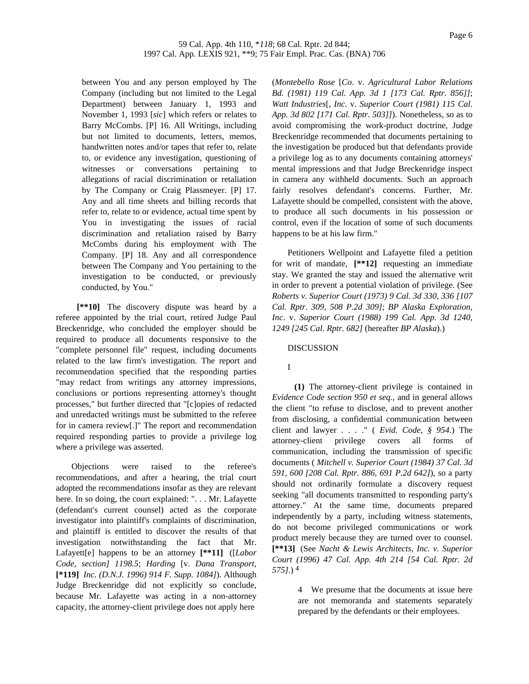between You and any person employed by The Company (including but not limited to the Legal Department) between January 1, 1993 and November 1, 1993 [*sic*] which refers or relates to Barry McCombs. [P] 16. All Writings, including but not limited to documents, letters, memos, handwritten notes and/or tapes that refer to, relate to, or evidence any investigation, questioning of witnesses or conversations pertaining to allegations of racial discrimination or retaliation by The Company or Craig Plassmeyer. [P] 17. Any and all time sheets and billing records that refer to, relate to or evidence, actual time spent by You in investigating the issues of racial discrimination and retaliation raised by Barry McCombs during his employment with The Company. [P] 18. Any and all correspondence between The Company and You pertaining to the investigation to be conducted, or previously conducted, by You."

**[\*\*10]** The discovery dispute was heard by a referee appointed by the trial court, retired Judge Paul Breckenridge, who concluded the employer should be required to produce all documents responsive to the "complete personnel file" request, including documents related to the law firm's investigation. The report and recommendation specified that the responding parties "may redact from writings any attorney impressions, conclusions or portions representing attorney's thought processes," but further directed that "[c]opies of redacted and unredacted writings must be submitted to the referee for in camera review[.]" The report and recommendation required responding parties to provide a privilege log where a privilege was asserted.

Objections were raised to the referee's recommendations, and after a hearing, the trial court adopted the recommendations insofar as they are relevant here. In so doing, the court explained: ". . . Mr. Lafayette (defendant's current counsel) acted as the corporate investigator into plaintiff's complaints of discrimination, and plaintiff is entitled to discover the results of that investigation notwithstanding the fact that Mr. Lafayett[e] happens to be an attorney **[\*\*11]** ([*Labor Code, section] 1198.5*; *Harding* [v. *Dana Transport,* **[\*119]** *Inc. (D.N.J. 1996) 914 F. Supp. 1084]*). Although Judge Breckenridge did not explicitly so conclude, because Mr. Lafayette was acting in a non-attorney capacity, the attorney-client privilege does not apply here

(*Montebello Rose* [*Co*. v. *Agricultural Labor Relations Bd. (1981) 119 Cal. App. 3d 1 [173 Cal. Rptr. 856]]*; *Watt Industries*[, *Inc*. v. *Superior Court (1981) 115 Cal. App. 3d 802 [171 Cal. Rptr. 503]]*). Nonetheless, so as to avoid compromising the work-product doctrine, Judge Breckenridge recommended that documents pertaining to the investigation be produced but that defendants provide a privilege log as to any documents containing attorneys' mental impressions and that Judge Breckenridge inspect in camera any withheld documents. Such an approach fairly resolves defendant's concerns. Further, Mr. Lafayette should be compelled, consistent with the above, to produce all such documents in his possession or control, even if the location of some of such documents happens to be at his law firm."

Petitioners Wellpoint and Lafayette filed a petition for writ of mandate, **[\*\*12]** requesting an immediate stay. We granted the stay and issued the alternative writ in order to prevent a potential violation of privilege. (See *Roberts v. Superior Court (1973) 9 Cal. 3d 330, 336 [107 Cal. Rptr. 309, 508 P.2d 309]*; *BP Alaska Exploration, Inc*. v. *Superior Court (1988) 199 Cal. App. 3d 1240, 1249 [245 Cal. Rptr. 682]* (hereafter *BP Alaska*).)

# DISCUSSION

## I

**(1)** The attorney-client privilege is contained in *Evidence Code section 950 et seq.*, and in general allows the client "to refuse to disclose, and to prevent another from disclosing, a confidential communication between client and lawyer . . . ." ( *Evid. Code, § 954*.) The attorney-client privilege covers all forms of communication, including the transmission of specific documents ( *Mitchell v. Superior Court (1984) 37 Cal. 3d 591, 600 [208 Cal. Rptr. 886, 691 P.2d 642]*), so a party should not ordinarily formulate a discovery request seeking "all documents transmitted to responding party's attorney." At the same time, documents prepared independently by a party, including witness statements, do not become privileged communications or work product merely because they are turned over to counsel. **[\*\*13]** (See *Nacht & Lewis Architects, Inc. v. Superior Court (1996) 47 Cal. App. 4th 214 [54 Cal. Rptr. 2d 575]*.) 4

> 4 We presume that the documents at issue here are not memoranda and statements separately prepared by the defendants or their employees.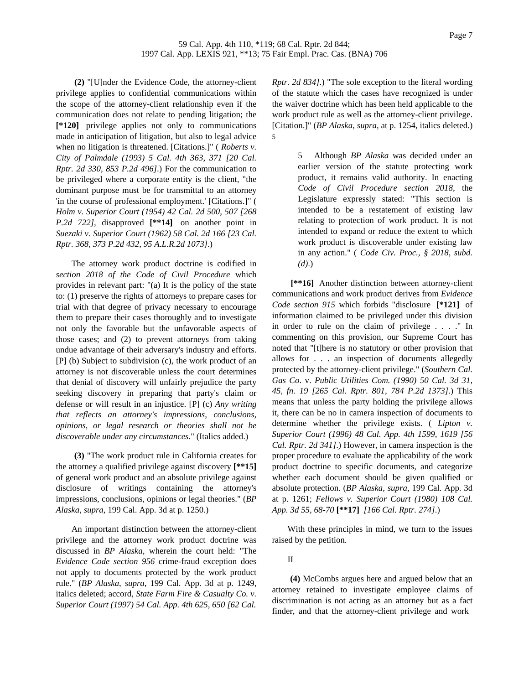**(2)** "[U]nder the Evidence Code, the attorney-client privilege applies to confidential communications within the scope of the attorney-client relationship even if the communication does not relate to pending litigation; the **[\*120]** privilege applies not only to communications made in anticipation of litigation, but also to legal advice when no litigation is threatened. [Citations.]" ( *Roberts v. City of Palmdale (1993) 5 Cal. 4th 363, 371 [20 Cal. Rptr. 2d 330, 853 P.2d 496]*.) For the communication to be privileged where a corporate entity is the client, "the dominant purpose must be for transmittal to an attorney 'in the course of professional employment.' [Citations.]" ( *Holm v. Superior Court (1954) 42 Cal. 2d 500, 507 [268 P.2d 722]*, disapproved **[\*\*14]** on another point in *Suezaki v. Superior Court (1962) 58 Cal. 2d 166 [23 Cal. Rptr. 368, 373 P.2d 432, 95 A.L.R.2d 1073]*.)

The attorney work product doctrine is codified in *section 2018 of the Code of Civil Procedure* which provides in relevant part: "(a) It is the policy of the state to: (1) preserve the rights of attorneys to prepare cases for trial with that degree of privacy necessary to encourage them to prepare their cases thoroughly and to investigate not only the favorable but the unfavorable aspects of those cases; and (2) to prevent attorneys from taking undue advantage of their adversary's industry and efforts. [P] (b) Subject to subdivision (c), the work product of an attorney is not discoverable unless the court determines that denial of discovery will unfairly prejudice the party seeking discovery in preparing that party's claim or defense or will result in an injustice. [P] (c) *Any writing that reflects an attorney's impressions, conclusions, opinions, or legal research or theories shall not be discoverable under any circumstances*." (Italics added.)

**(3)** "The work product rule in California creates for the attorney a qualified privilege against discovery **[\*\*15]** of general work product and an absolute privilege against disclosure of writings containing the attorney's impressions, conclusions, opinions or legal theories." (*BP Alaska*, *supra*, 199 Cal. App. 3d at p. 1250.)

An important distinction between the attorney-client privilege and the attorney work product doctrine was discussed in *BP Alaska*, wherein the court held: "The *Evidence Code section 956* crime-fraud exception does not apply to documents protected by the work product rule." (*BP Alaska*, *supra*, 199 Cal. App. 3d at p. 1249, italics deleted; accord, *State Farm Fire & Casualty Co. v. Superior Court (1997) 54 Cal. App. 4th 625, 650 [62 Cal.* *Rptr. 2d 834]*.) "The sole exception to the literal wording of the statute which the cases have recognized is under the waiver doctrine which has been held applicable to the work product rule as well as the attorney-client privilege. [Citation.]" (*BP Alaska*, *supra*, at p. 1254, italics deleted.) 5

> 5 Although *BP Alaska* was decided under an earlier version of the statute protecting work product, it remains valid authority. In enacting *Code of Civil Procedure section 2018*, the Legislature expressly stated: "This section is intended to be a restatement of existing law relating to protection of work product. It is not intended to expand or reduce the extent to which work product is discoverable under existing law in any action." ( *Code Civ. Proc., § 2018, subd. (d)*.)

**[\*\*16]** Another distinction between attorney-client communications and work product derives from *Evidence Code section 915* which forbids "disclosure **[\*121]** of information claimed to be privileged under this division in order to rule on the claim of privilege . . . ." In commenting on this provision, our Supreme Court has noted that "[t]here is no statutory or other provision that allows for . . . an inspection of documents allegedly protected by the attorney-client privilege." (*Southern Cal. Gas Co*. v. *Public Utilities Com. (1990) 50 Cal. 3d 31, 45, fn. 19 [265 Cal. Rptr. 801, 784 P.2d 1373]*.) This means that unless the party holding the privilege allows it, there can be no in camera inspection of documents to determine whether the privilege exists. ( *Lipton v. Superior Court (1996) 48 Cal. App. 4th 1599, 1619 [56 Cal. Rptr. 2d 341]*.) However, in camera inspection is the proper procedure to evaluate the applicability of the work product doctrine to specific documents, and categorize whether each document should be given qualified or absolute protection. (*BP Alaska*, *supra*, 199 Cal. App. 3d at p. 1261; *Fellows v. Superior Court (1980) 108 Cal. App. 3d 55, 68-70* **[\*\*17]** *[166 Cal. Rptr. 274]*.)

With these principles in mind, we turn to the issues raised by the petition.

II

**(4)** McCombs argues here and argued below that an attorney retained to investigate employee claims of discrimination is not acting as an attorney but as a fact finder, and that the attorney-client privilege and work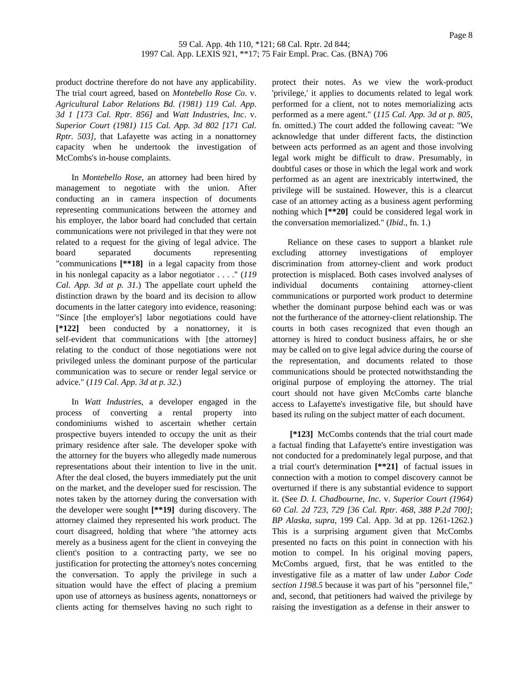product doctrine therefore do not have any applicability. The trial court agreed, based on *Montebello Rose Co*. v. *Agricultural Labor Relations Bd. (1981) 119 Cal. App. 3d 1 [173 Cal. Rptr. 856]* and *Watt Industries*, *Inc*. v. *Superior Court (1981) 115 Cal. App. 3d 802 [171 Cal. Rptr. 503]*, that Lafayette was acting in a nonattorney capacity when he undertook the investigation of McCombs's in-house complaints.

In *Montebello Rose*, an attorney had been hired by management to negotiate with the union. After conducting an in camera inspection of documents representing communications between the attorney and his employer, the labor board had concluded that certain communications were not privileged in that they were not related to a request for the giving of legal advice. The board separated documents representing "communications **[\*\*18]** in a legal capacity from those in his nonlegal capacity as a labor negotiator . . . ." (*119 Cal. App. 3d at p. 31*.) The appellate court upheld the distinction drawn by the board and its decision to allow documents in the latter category into evidence, reasoning: "Since [the employer's] labor negotiations could have **[\*122]** been conducted by a nonattorney, it is self-evident that communications with [the attorney] relating to the conduct of those negotiations were not privileged unless the dominant purpose of the particular communication was to secure or render legal service or advice." (*119 Cal. App. 3d at p. 32*.)

In *Watt Industries*, a developer engaged in the process of converting a rental property into condominiums wished to ascertain whether certain prospective buyers intended to occupy the unit as their primary residence after sale. The developer spoke with the attorney for the buyers who allegedly made numerous representations about their intention to live in the unit. After the deal closed, the buyers immediately put the unit on the market, and the developer sued for rescission. The notes taken by the attorney during the conversation with the developer were sought **[\*\*19]** during discovery. The attorney claimed they represented his work product. The court disagreed, holding that where "the attorney acts merely as a business agent for the client in conveying the client's position to a contracting party, we see no justification for protecting the attorney's notes concerning the conversation. To apply the privilege in such a situation would have the effect of placing a premium upon use of attorneys as business agents, nonattorneys or clients acting for themselves having no such right to

protect their notes. As we view the work-product 'privilege,' it applies to documents related to legal work performed for a client, not to notes memorializing acts performed as a mere agent." (*115 Cal. App. 3d at p. 805*, fn. omitted.) The court added the following caveat: "We acknowledge that under different facts, the distinction between acts performed as an agent and those involving legal work might be difficult to draw. Presumably, in doubtful cases or those in which the legal work and work performed as an agent are inextricably intertwined, the privilege will be sustained. However, this is a clearcut case of an attorney acting as a business agent performing nothing which **[\*\*20]** could be considered legal work in the conversation memorialized." (*Ibid*., fn. 1.)

Reliance on these cases to support a blanket rule excluding attorney investigations of employer discrimination from attorney-client and work product protection is misplaced. Both cases involved analyses of individual documents containing attorney-client communications or purported work product to determine whether the dominant purpose behind each was or was not the furtherance of the attorney-client relationship. The courts in both cases recognized that even though an attorney is hired to conduct business affairs, he or she may be called on to give legal advice during the course of the representation, and documents related to those communications should be protected notwithstanding the original purpose of employing the attorney. The trial court should not have given McCombs carte blanche access to Lafayette's investigative file, but should have based its ruling on the subject matter of each document.

**[\*123]** McCombs contends that the trial court made a factual finding that Lafayette's entire investigation was not conducted for a predominately legal purpose, and that a trial court's determination **[\*\*21]** of factual issues in connection with a motion to compel discovery cannot be overturned if there is any substantial evidence to support it. (See *D. I. Chadbourne, Inc*. v. *Superior Court (1964) 60 Cal. 2d 723, 729 [36 Cal. Rptr. 468, 388 P.2d 700]*; *BP Alaska*, *supra*, 199 Cal. App. 3d at pp. 1261-1262.) This is a surprising argument given that McCombs presented no facts on this point in connection with his motion to compel. In his original moving papers, McCombs argued, first, that he was entitled to the investigative file as a matter of law under *Labor Code section 1198.5* because it was part of his "personnel file," and, second, that petitioners had waived the privilege by raising the investigation as a defense in their answer to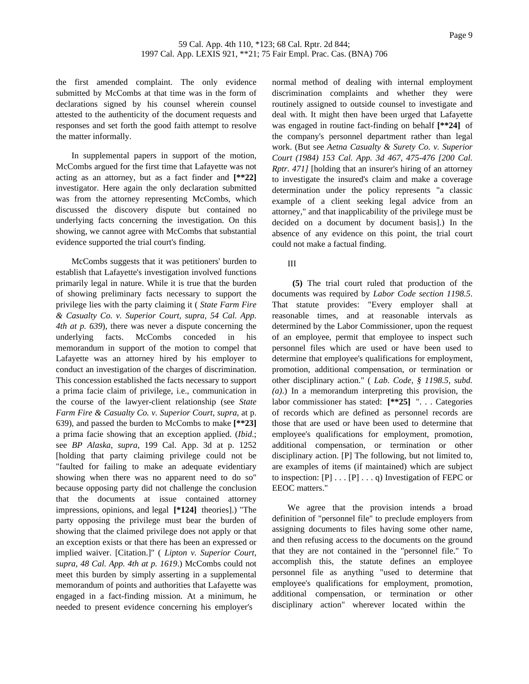the first amended complaint. The only evidence submitted by McCombs at that time was in the form of declarations signed by his counsel wherein counsel attested to the authenticity of the document requests and responses and set forth the good faith attempt to resolve the matter informally.

In supplemental papers in support of the motion, McCombs argued for the first time that Lafayette was not acting as an attorney, but as a fact finder and **[\*\*22]** investigator. Here again the only declaration submitted was from the attorney representing McCombs, which discussed the discovery dispute but contained no underlying facts concerning the investigation. On this showing, we cannot agree with McCombs that substantial evidence supported the trial court's finding.

McCombs suggests that it was petitioners' burden to establish that Lafayette's investigation involved functions primarily legal in nature. While it is true that the burden of showing preliminary facts necessary to support the privilege lies with the party claiming it ( *State Farm Fire & Casualty Co. v. Superior Court, supra, 54 Cal. App. 4th at p. 639*), there was never a dispute concerning the underlying facts. McCombs conceded in his memorandum in support of the motion to compel that Lafayette was an attorney hired by his employer to conduct an investigation of the charges of discrimination. This concession established the facts necessary to support a prima facie claim of privilege, i.e., communication in the course of the lawyer-client relationship (see *State Farm Fire & Casualty Co. v. Superior Court*, *supra*, at p. 639), and passed the burden to McCombs to make **[\*\*23]** a prima facie showing that an exception applied. (*Ibid*.; see *BP Alaska*, *supra*, 199 Cal. App. 3d at p. 1252 [holding that party claiming privilege could not be "faulted for failing to make an adequate evidentiary showing when there was no apparent need to do so" because opposing party did not challenge the conclusion that the documents at issue contained attorney impressions, opinions, and legal **[\*124]** theories].) "The party opposing the privilege must bear the burden of showing that the claimed privilege does not apply or that an exception exists or that there has been an expressed or implied waiver. [Citation.]" ( *Lipton v. Superior Court, supra, 48 Cal. App. 4th at p. 1619*.) McCombs could not meet this burden by simply asserting in a supplemental memorandum of points and authorities that Lafayette was engaged in a fact-finding mission. At a minimum, he needed to present evidence concerning his employer's

normal method of dealing with internal employment discrimination complaints and whether they were routinely assigned to outside counsel to investigate and deal with. It might then have been urged that Lafayette was engaged in routine fact-finding on behalf **[\*\*24]** of the company's personnel department rather than legal work. (But see *Aetna Casualty & Surety Co. v. Superior Court (1984) 153 Cal. App. 3d 467, 475-476 [200 Cal. Rptr. 471]* [holding that an insurer's hiring of an attorney to investigate the insured's claim and make a coverage determination under the policy represents "a classic example of a client seeking legal advice from an attorney," and that inapplicability of the privilege must be decided on a document by document basis].) In the absence of any evidence on this point, the trial court could not make a factual finding.

# III

**(5)** The trial court ruled that production of the documents was required by *Labor Code section 1198.5*. That statute provides: "Every employer shall at reasonable times, and at reasonable intervals as determined by the Labor Commissioner, upon the request of an employee, permit that employee to inspect such personnel files which are used or have been used to determine that employee's qualifications for employment, promotion, additional compensation, or termination or other disciplinary action." ( *Lab. Code, § 1198.5, subd. (a)*.) In a memorandum interpreting this provision, the labor commissioner has stated: **[\*\*25]** ". . . Categories of records which are defined as personnel records are those that are used or have been used to determine that employee's qualifications for employment, promotion, additional compensation, or termination or other disciplinary action. [P] The following, but not limited to, are examples of items (if maintained) which are subject to inspection:  $[P] \ldots [P] \ldots q$  Investigation of FEPC or EEOC matters."

We agree that the provision intends a broad definition of "personnel file" to preclude employers from assigning documents to files having some other name, and then refusing access to the documents on the ground that they are not contained in the "personnel file." To accomplish this, the statute defines an employee personnel file as anything "used to determine that employee's qualifications for employment, promotion, additional compensation, or termination or other disciplinary action" wherever located within the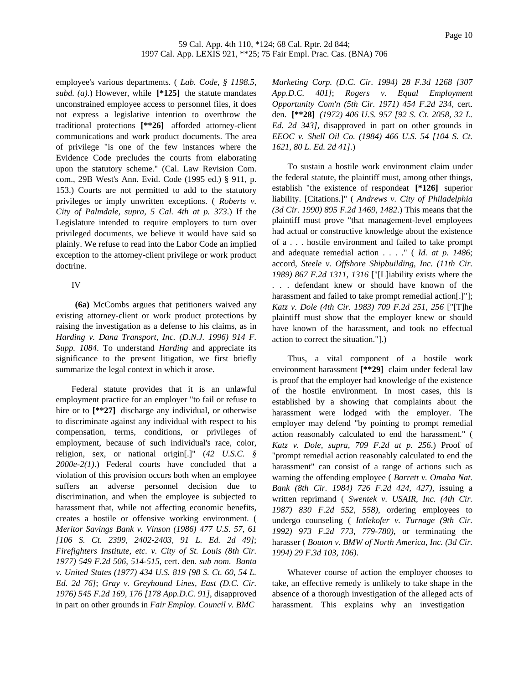employee's various departments. ( *Lab. Code, § 1198.5, subd. (a)*.) However, while **[\*125]** the statute mandates unconstrained employee access to personnel files, it does not express a legislative intention to overthrow the traditional protections **[\*\*26]** afforded attorney-client communications and work product documents. The area of privilege "is one of the few instances where the Evidence Code precludes the courts from elaborating upon the statutory scheme." (Cal. Law Revision Com. com., 29B West's Ann. Evid. Code (1995 ed.) § 911, p. 153.) Courts are not permitted to add to the statutory privileges or imply unwritten exceptions. ( *Roberts v. City of Palmdale, supra, 5 Cal. 4th at p. 373*.) If the Legislature intended to require employers to turn over privileged documents, we believe it would have said so plainly. We refuse to read into the Labor Code an implied exception to the attorney-client privilege or work product doctrine.

# IV

**(6a)** McCombs argues that petitioners waived any existing attorney-client or work product protections by raising the investigation as a defense to his claims, as in *Harding v. Dana Transport, Inc. (D.N.J. 1996) 914 F. Supp. 1084*. To understand *Harding* and appreciate its significance to the present litigation, we first briefly summarize the legal context in which it arose.

Federal statute provides that it is an unlawful employment practice for an employer "to fail or refuse to hire or to  $[**27]$  discharge any individual, or otherwise to discriminate against any individual with respect to his compensation, terms, conditions, or privileges of employment, because of such individual's race, color, religion, sex, or national origin[.]" (*42 U.S.C. § 2000e-2(1)*.) Federal courts have concluded that a violation of this provision occurs both when an employee suffers an adverse personnel decision due to discrimination, and when the employee is subjected to harassment that, while not affecting economic benefits, creates a hostile or offensive working environment. ( *Meritor Savings Bank v. Vinson (1986) 477 U.S. 57, 61 [106 S. Ct. 2399, 2402-2403, 91 L. Ed. 2d 49]*; *Firefighters Institute, etc. v. City of St. Louis (8th Cir. 1977) 549 F.2d 506, 514-515*, cert. den. *sub nom*. *Banta v. United States (1977) 434 U.S. 819 [98 S. Ct. 60, 54 L. Ed. 2d 76]*; *Gray v. Greyhound Lines, East (D.C. Cir. 1976) 545 F.2d 169, 176 [178 App.D.C. 91]*, disapproved in part on other grounds in *Fair Employ. Council v. BMC*

*Marketing Corp. (D.C. Cir. 1994) 28 F.3d 1268 [307 App.D.C. 401]*; *Rogers v. Equal Employment Opportunity Com'n (5th Cir. 1971) 454 F.2d 234*, cert. den. **[\*\*28]** *(1972) 406 U.S. 957 [92 S. Ct. 2058, 32 L. Ed. 2d 343]*, disapproved in part on other grounds in *EEOC v. Shell Oil Co. (1984) 466 U.S. 54 [104 S. Ct. 1621, 80 L. Ed. 2d 41]*.)

To sustain a hostile work environment claim under the federal statute, the plaintiff must, among other things, establish "the existence of respondeat **[\*126]** superior liability. [Citations.]" ( *Andrews v. City of Philadelphia (3d Cir. 1990) 895 F.2d 1469, 1482*.) This means that the plaintiff must prove "that management-level employees had actual or constructive knowledge about the existence of a . . . hostile environment and failed to take prompt and adequate remedial action . . . ." ( *Id. at p. 1486*; accord, *Steele v. Offshore Shipbuilding, Inc. (11th Cir. 1989) 867 F.2d 1311, 1316* ["[L]iability exists where the . . . defendant knew or should have known of the harassment and failed to take prompt remedial action[.]"]; *Katz v. Dole (4th Cir. 1983) 709 F.2d 251, 256* ["[T]he plaintiff must show that the employer knew or should have known of the harassment, and took no effectual action to correct the situation."].)

Thus, a vital component of a hostile work environment harassment **[\*\*29]** claim under federal law is proof that the employer had knowledge of the existence of the hostile environment. In most cases, this is established by a showing that complaints about the harassment were lodged with the employer. The employer may defend "by pointing to prompt remedial action reasonably calculated to end the harassment." ( *Katz v. Dole, supra, 709 F.2d at p. 256*.) Proof of "prompt remedial action reasonably calculated to end the harassment" can consist of a range of actions such as warning the offending employee ( *Barrett v. Omaha Nat. Bank (8th Cir. 1984) 726 F.2d 424, 427)*, issuing a written reprimand ( *Swentek v. USAIR, Inc. (4th Cir. 1987) 830 F.2d 552, 558)*, ordering employees to undergo counseling ( *Intlekofer v. Turnage (9th Cir. 1992) 973 F.2d 773, 779-780)*, or terminating the harasser ( *Bouton v. BMW of North America, Inc. (3d Cir. 1994) 29 F.3d 103, 106)*.

Whatever course of action the employer chooses to take, an effective remedy is unlikely to take shape in the absence of a thorough investigation of the alleged acts of harassment. This explains why an investigation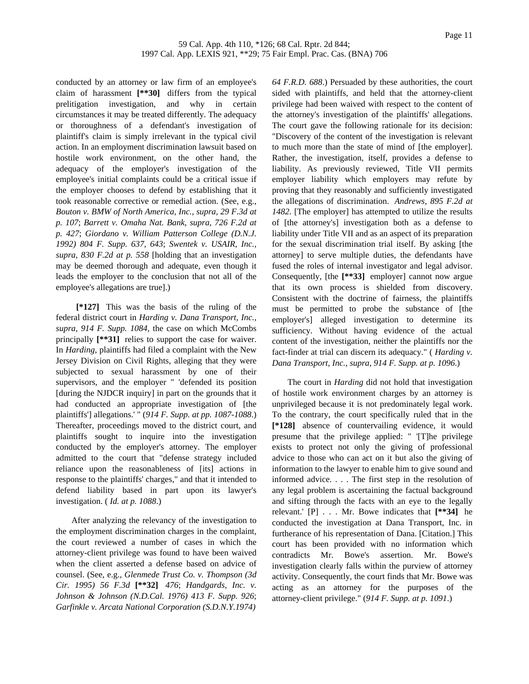conducted by an attorney or law firm of an employee's claim of harassment **[\*\*30]** differs from the typical prelitigation investigation, and why in certain circumstances it may be treated differently. The adequacy or thoroughness of a defendant's investigation of plaintiff's claim is simply irrelevant in the typical civil action. In an employment discrimination lawsuit based on hostile work environment, on the other hand, the adequacy of the employer's investigation of the employee's initial complaints could be a critical issue if the employer chooses to defend by establishing that it took reasonable corrective or remedial action. (See, e.g., *Bouton v. BMW of North America, Inc., supra, 29 F.3d at p. 107*; *Barrett v. Omaha Nat. Bank, supra, 726 F.2d at p. 427*; *Giordano v. William Patterson College (D.N.J. 1992) 804 F. Supp. 637, 643*; *Swentek v. USAIR, Inc., supra, 830 F.2d at p. 558* [holding that an investigation may be deemed thorough and adequate, even though it leads the employer to the conclusion that not all of the employee's allegations are true].)

**[\*127]** This was the basis of the ruling of the federal district court in *Harding v. Dana Transport, Inc., supra, 914 F. Supp. 1084*, the case on which McCombs principally **[\*\*31]** relies to support the case for waiver. In *Harding*, plaintiffs had filed a complaint with the New Jersey Division on Civil Rights, alleging that they were subjected to sexual harassment by one of their supervisors, and the employer " 'defended its position [during the NJDCR inquiry] in part on the grounds that it had conducted an appropriate investigation of [the plaintiffs'] allegations.' " (*914 F. Supp. at pp. 1087-1088*.) Thereafter, proceedings moved to the district court, and plaintiffs sought to inquire into the investigation conducted by the employer's attorney. The employer admitted to the court that "defense strategy included reliance upon the reasonableness of [its] actions in response to the plaintiffs' charges," and that it intended to defend liability based in part upon its lawyer's investigation. ( *Id. at p. 1088*.)

After analyzing the relevancy of the investigation to the employment discrimination charges in the complaint, the court reviewed a number of cases in which the attorney-client privilege was found to have been waived when the client asserted a defense based on advice of counsel. (See, e.g., *Glenmede Trust Co. v. Thompson (3d Cir. 1995) 56 F.3d* **[\*\*32]** *476*; *Handgards*, *Inc. v. Johnson & Johnson (N.D.Cal. 1976) 413 F. Supp. 926*; *Garfinkle v. Arcata National Corporation (S.D.N.Y.1974)*

*64 F.R.D. 688*.) Persuaded by these authorities, the court sided with plaintiffs, and held that the attorney-client privilege had been waived with respect to the content of the attorney's investigation of the plaintiffs' allegations. The court gave the following rationale for its decision: "Discovery of the content of the investigation is relevant to much more than the state of mind of [the employer]. Rather, the investigation, itself, provides a defense to liability. As previously reviewed, Title VII permits employer liability which employers may refute by proving that they reasonably and sufficiently investigated the allegations of discrimination. *Andrews, 895 F.2d at 1482*. [The employer] has attempted to utilize the results of [the attorney's] investigation both as a defense to liability under Title VII and as an aspect of its preparation for the sexual discrimination trial itself. By asking [the attorney] to serve multiple duties, the defendants have fused the roles of internal investigator and legal advisor. Consequently, [the **[\*\*33]** employer] cannot now argue that its own process is shielded from discovery. Consistent with the doctrine of fairness, the plaintiffs must be permitted to probe the substance of [the employer's] alleged investigation to determine its sufficiency. Without having evidence of the actual content of the investigation, neither the plaintiffs nor the fact-finder at trial can discern its adequacy." ( *Harding v. Dana Transport, Inc., supra, 914 F. Supp. at p. 1096*.)

The court in *Harding* did not hold that investigation of hostile work environment charges by an attorney is unprivileged because it is not predominately legal work. To the contrary, the court specifically ruled that in the **[\*128]** absence of countervailing evidence, it would presume that the privilege applied: " '[T]he privilege exists to protect not only the giving of professional advice to those who can act on it but also the giving of information to the lawyer to enable him to give sound and informed advice. . . . The first step in the resolution of any legal problem is ascertaining the factual background and sifting through the facts with an eye to the legally relevant.' [P] . . . Mr. Bowe indicates that **[\*\*34]** he conducted the investigation at Dana Transport, Inc. in furtherance of his representation of Dana. [Citation.] This court has been provided with no information which contradicts Mr. Bowe's assertion. Mr. Bowe's investigation clearly falls within the purview of attorney activity. Consequently, the court finds that Mr. Bowe was acting as an attorney for the purposes of the attorney-client privilege." (*914 F. Supp. at p. 1091*.)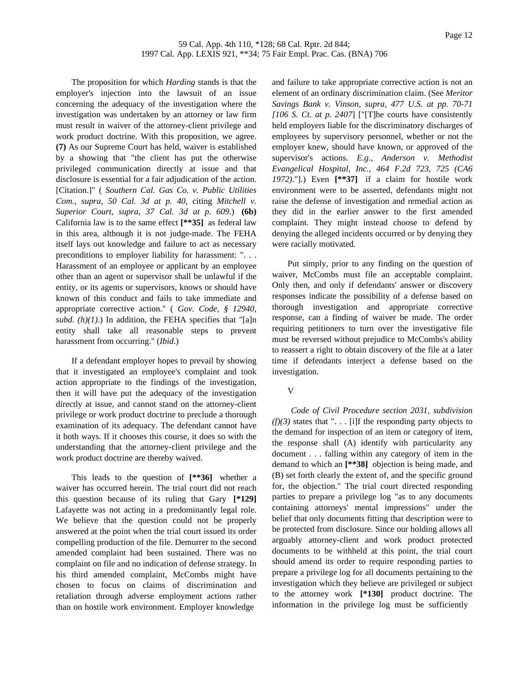The proposition for which *Harding* stands is that the employer's injection into the lawsuit of an issue concerning the adequacy of the investigation where the investigation was undertaken by an attorney or law firm must result in waiver of the attorney-client privilege and work product doctrine. With this proposition, we agree. **(7)** As our Supreme Court has held, waiver is established by a showing that "the client has put the otherwise privileged communication directly at issue and that disclosure is essential for a fair adjudication of the action. [Citation.]" ( *Southern Cal. Gas Co. v. Public Utilities Com., supra, 50 Cal. 3d at p. 40*, citing *Mitchell v. Superior Court, supra, 37 Cal. 3d at p. 609*.) **(6b)** California law is to the same effect **[\*\*35]** as federal law in this area, although it is not judge-made. The FEHA itself lays out knowledge and failure to act as necessary preconditions to employer liability for harassment: ". . . Harassment of an employee or applicant by an employee other than an agent or supervisor shall be unlawful if the entity, or its agents or supervisors, knows or should have known of this conduct and fails to take immediate and appropriate corrective action." ( *Gov. Code, § 12940, subd.*  $(h)(1)$ .) In addition, the FEHA specifies that "[a]n entity shall take all reasonable steps to prevent harassment from occurring." (*Ibid*.)

If a defendant employer hopes to prevail by showing that it investigated an employee's complaint and took action appropriate to the findings of the investigation, then it will have put the adequacy of the investigation directly at issue, and cannot stand on the attorney-client privilege or work product doctrine to preclude a thorough examination of its adequacy. The defendant cannot have it both ways. If it chooses this course, it does so with the understanding that the attorney-client privilege and the work product doctrine are thereby waived.

This leads to the question of **[\*\*36]** whether a waiver has occurred herein. The trial court did not reach this question because of its ruling that Gary **[\*129]** Lafayette was not acting in a predominantly legal role. We believe that the question could not be properly answered at the point when the trial court issued its order compelling production of the file. Demurrer to the second amended complaint had been sustained. There was no complaint on file and no indication of defense strategy. In his third amended complaint, McCombs might have chosen to focus on claims of discrimination and retaliation through adverse employment actions rather than on hostile work environment. Employer knowledge

and failure to take appropriate corrective action is not an element of an ordinary discrimination claim. (See *Meritor Savings Bank v. Vinson, supra, 477 U.S. at pp. 70-71 [106 S. Ct. at p. 2407*] ["[T]he courts have consistently held employers liable for the discriminatory discharges of employees by supervisory personnel, whether or not the employer knew, should have known, or approved of the supervisor's actions. *E.g*., *Anderson v. Methodist Evangelical Hospital, Inc., 464 F.2d 723, 725 (CA6 1972)*."].) Even **[\*\*37]** if a claim for hostile work environment were to be asserted, defendants might not raise the defense of investigation and remedial action as they did in the earlier answer to the first amended complaint. They might instead choose to defend by denying the alleged incidents occurred or by denying they were racially motivated.

Put simply, prior to any finding on the question of waiver, McCombs must file an acceptable complaint. Only then, and only if defendants' answer or discovery responses indicate the possibility of a defense based on thorough investigation and appropriate corrective response, can a finding of waiver be made. The order requiring petitioners to turn over the investigative file must be reversed without prejudice to McCombs's ability to reassert a right to obtain discovery of the file at a later time if defendants interject a defense based on the investigation.

## V

*Code of Civil Procedure section 2031, subdivision*  $(f)(3)$  states that " $\ldots$  [i]f the responding party objects to the demand for inspection of an item or category of item, the response shall (A) identify with particularity any document . . . falling within any category of item in the demand to which an **[\*\*38]** objection is being made, and (B) set forth clearly the extent of, and the specific ground for, the objection." The trial court directed responding parties to prepare a privilege log "as to any documents containing attorneys' mental impressions" under the belief that only documents fitting that description were to be protected from disclosure. Since our holding allows all arguably attorney-client and work product protected documents to be withheld at this point, the trial court should amend its order to require responding parties to prepare a privilege log for all documents pertaining to the investigation which they believe are privileged or subject to the attorney work **[\*130]** product doctrine. The information in the privilege log must be sufficiently